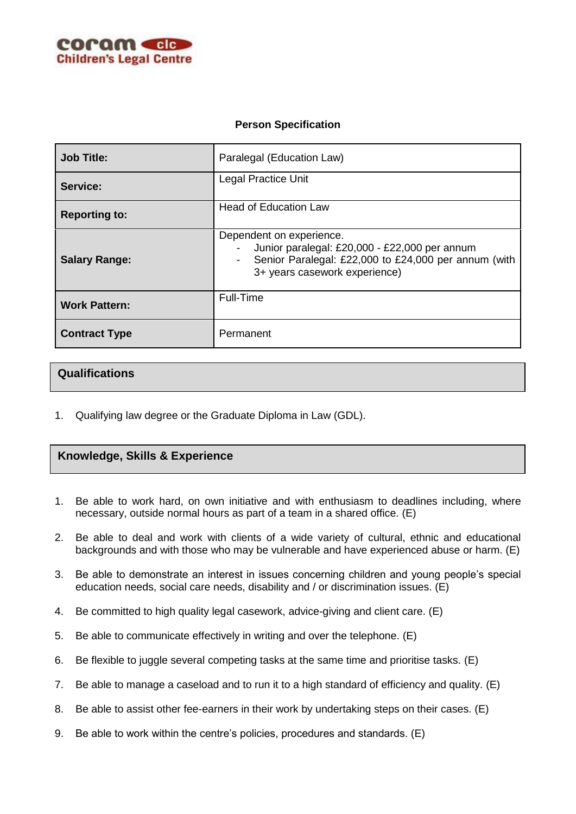

## **Person Specification**

| <b>Job Title:</b>    | Paralegal (Education Law)                                                                                                                                                            |
|----------------------|--------------------------------------------------------------------------------------------------------------------------------------------------------------------------------------|
| Service:             | <b>Legal Practice Unit</b>                                                                                                                                                           |
| <b>Reporting to:</b> | <b>Head of Education Law</b>                                                                                                                                                         |
| <b>Salary Range:</b> | Dependent on experience.<br>Junior paralegal: £20,000 - £22,000 per annum<br>Senior Paralegal: £22,000 to £24,000 per annum (with<br>$\blacksquare$<br>3+ years casework experience) |
| <b>Work Pattern:</b> | Full-Time                                                                                                                                                                            |
| <b>Contract Type</b> | Permanent                                                                                                                                                                            |

## **Qualifications**

1. Qualifying law degree or the Graduate Diploma in Law (GDL).

## **Knowledge, Skills & Experience**

- 1. Be able to work hard, on own initiative and with enthusiasm to deadlines including, where necessary, outside normal hours as part of a team in a shared office. (E)
- 2. Be able to deal and work with clients of a wide variety of cultural, ethnic and educational backgrounds and with those who may be vulnerable and have experienced abuse or harm. (E)
- 3. Be able to demonstrate an interest in issues concerning children and young people's special education needs, social care needs, disability and / or discrimination issues. (E)
- 4. Be committed to high quality legal casework, advice-giving and client care. (E)
- 5. Be able to communicate effectively in writing and over the telephone. (E)
- 6. Be flexible to juggle several competing tasks at the same time and prioritise tasks. (E)
- 7. Be able to manage a caseload and to run it to a high standard of efficiency and quality. (E)
- 8. Be able to assist other fee-earners in their work by undertaking steps on their cases. (E)
- 9. Be able to work within the centre's policies, procedures and standards. (E)